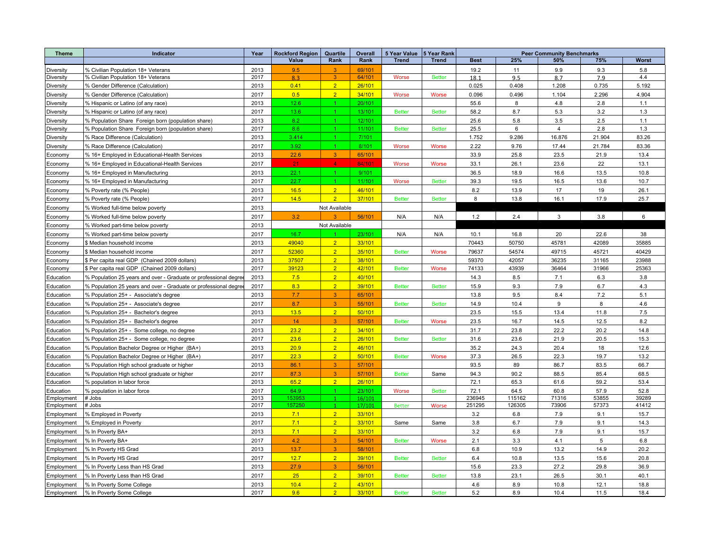| <b>Theme</b>           | Indicator                                                        | Year | <b>Rockford Region</b> | Quartile             | Overall | 5 Year Value 5 Year Rank |               | <b>Peer Community Benchmarks</b> |        |        |        |              |
|------------------------|------------------------------------------------------------------|------|------------------------|----------------------|---------|--------------------------|---------------|----------------------------------|--------|--------|--------|--------------|
|                        |                                                                  |      | Value                  | Rank                 | Rank    | <b>Trend</b>             | <b>Trend</b>  | <b>Best</b>                      | 25%    | 50%    | 75%    | <b>Worst</b> |
| Diversity              | % Civilian Population 18+ Veterans                               | 2013 | 9.5                    | $\mathbf{3}$         | 69/101  |                          |               | 19.2                             | 11     | 9.9    | 9.3    | 5.8          |
| Diversity              | % Civilian Population 18+ Veterans                               | 2017 | 8.3                    | 3 <sup>1</sup>       | 64/101  | <b>Worse</b>             | <b>Better</b> | 18.1                             | 9.5    | 8.7    | 7.9    | 4.4          |
| Diversity              | % Gender Difference (Calculation)                                | 2013 | 0.41                   | $\overline{2}$       | 26/101  |                          |               | 0.025                            | 0.408  | 1.208  | 0.735  | 5.192        |
| Diversity              | % Gender Difference (Calculation)                                | 2017 | 0.5                    | 2 <sup>1</sup>       | 34/101  | Worse                    | Worse         | 0.096                            | 0.496  | 1.104  | 2.296  | 4.904        |
| Diversity              | % Hispanic or Latino (of any race)                               | 2013 | 12.6                   | 1 <sup>1</sup>       | 20/101  |                          |               | 55.6                             | 8      | 4.8    | 2.8    | 1.1          |
| Diversity              | % Hispanic or Latino (of any race)                               | 2017 | 13.6                   | $\mathbf{1}$         | 13/101  | <b>Better</b>            | <b>Better</b> | 58.2                             | 8.7    | 5.3    | 3.2    | 1.3          |
| Diversity              | % Population Share Foreign born (population share)               | 2013 | 8.2                    | 1.                   | 12/101  |                          |               | 25.6                             | 5.8    | 3.5    | 2.5    | 1.1          |
| Diversity              | % Population Share Foreign born (population share)               | 2017 | 8.6                    | 1.                   | 11/101  | <b>Better</b>            | <b>Better</b> | 25.5                             | 6      | 4      | 2.8    | 1.3          |
| Diversity              | % Race Difference (Calculation)                                  | 2013 | 3.414                  | $\mathbf{1}$         | 7/101   |                          |               | 1.752                            | 9.286  | 16.876 | 21.904 | 83.26        |
| Diversity              | % Race Difference (Calculation)                                  | 2017 | 3.92                   | $\blacktriangleleft$ | 8/101   | Worse                    | Worse         | 2.22                             | 9.76   | 17.44  | 21.784 | 83.36        |
| Economy                | % 16+ Employed in Educational-Health Services                    | 2013 | 22.6                   | 3 <sup>°</sup>       | 65/101  |                          |               | 33.9                             | 25.8   | 23.5   | 21.9   | 13.4         |
| Economy                | % 16+ Employed in Educational-Health Services                    | 2017 | 21                     | $\blacktriangleleft$ | 84/101  | Worse                    | <b>Worse</b>  | 33.1                             | 26.1   | 23.6   | 22     | 13.1         |
| Economy                | % 16+ Employed in Manufacturing                                  | 2013 | 22.1                   | 1 <sup>1</sup>       | 9/101   |                          |               | 36.5                             | 18.9   | 16.6   | 13.5   | 10.8         |
| Economy                | % 16+ Employed in Manufacturing                                  | 2017 | 22.7                   | $\blacktriangleleft$ | 11/101  | Worse                    | <b>Better</b> | 39.3                             | 19.5   | 16.5   | 13.6   | 10.7         |
| Economy                | % Poverty rate (% People)                                        | 2013 | 16.5                   | 2 <sup>7</sup>       | 46/101  |                          |               | 8.2                              | 13.9   | 17     | 19     | 26.1         |
| Economy                | % Poverty rate (% People)                                        | 2017 | 14.5                   | 2 <sup>1</sup>       | 37/101  | <b>Better</b>            | <b>Better</b> | 8                                | 13.8   | 16.1   | 17.9   | 25.7         |
| Economy                | % Worked full-time below poverty                                 | 2013 |                        | Not Available        |         |                          |               |                                  |        |        |        |              |
| Economy                | % Worked full-time below poverty                                 | 2017 | 3.2                    |                      | 56/101  | N/A                      | N/A           | 1.2                              | 2.4    | 3      | 3.8    | 6            |
| Economy                | % Worked part-time below poverty                                 | 2013 |                        | Not Available        |         |                          |               |                                  |        |        |        |              |
| Economy                | % Worked part-time below poverty                                 | 2017 | 16.7                   |                      | 23/101  | N/A                      | N/A           | 10.1                             | 16.8   | 20     | 22.6   | 38           |
| Economy                | \$ Median household income                                       | 2013 | 49040                  | 2 <sup>1</sup>       | 33/101  |                          |               | 70443                            | 50750  | 45781  | 42089  | 35885        |
| Economy                | \$ Median household income                                       | 2017 | 52360                  | 2 <sup>7</sup>       | 35/101  | <b>Better</b>            | <b>Worse</b>  | 79637                            | 54574  | 49715  | 45721  | 40429        |
| Economy                | \$ Per capita real GDP (Chained 2009 dollars)                    | 2013 | 37507                  | 2 <sup>1</sup>       | 38/101  |                          |               | 59370                            | 42057  | 36235  | 31165  | 23988        |
| Economy                | \$ Per capita real GDP (Chained 2009 dollars)                    | 2017 | 39123                  | 2 <sup>7</sup>       | 42/101  | <b>Better</b>            | <b>Worse</b>  | 74133                            | 43939  | 36464  | 31966  | 25363        |
| Education              | % Population 25 years and over - Graduate or professional degree | 2013 | 7.5                    | 2 <sup>1</sup>       | 40/101  |                          |               | 14.3                             | 8.5    | 7.1    | 6.3    | 3.8          |
| Education              | % Population 25 years and over - Graduate or professional degree | 2017 | 8.3                    | 2 <sup>7</sup>       | 39/101  | <b>Better</b>            | <b>Better</b> | 15.9                             | 9.3    | 7.9    | 6.7    | 4.3          |
| Education              | % Population 25+ - Associate's degree                            | 2013 | 7.7                    | 3 <sup>1</sup>       | 65/101  |                          |               | 13.8                             | 9.5    | 8.4    | 7.2    | 5.1          |
| Education              | % Population 25+ - Associate's degree                            | 2017 | 8.7                    | 3 <sup>1</sup>       | 55/101  | <b>Better</b>            | <b>Better</b> | 14.9                             | 10.4   | 9      | 8      | 4.6          |
| Education              | % Population 25+ - Bachelor's degree                             | 2013 | 13.5                   | 2 <sup>1</sup>       | 50/101  |                          |               | 23.5                             | 15.5   | 13.4   | 11.8   | 7.5          |
| Education              | % Population 25+ - Bachelor's degree                             | 2017 | 14                     | 3 <sup>7</sup>       | 57/101  | <b>Better</b>            | <b>Worse</b>  | 23.5                             | 16.7   | 14.5   | 12.5   | 8.2          |
| Education              | % Population 25+ - Some college, no degree                       | 2013 | 23.2                   | 2 <sup>7</sup>       | 34/101  |                          |               | 31.7                             | 23.8   | 22.2   | 20.2   | 14.8         |
| Education              | % Population 25+ - Some college, no degree                       | 2017 | 23.6                   | 2 <sup>1</sup>       | 26/101  | <b>Better</b>            | <b>Better</b> | 31.6                             | 23.6   | 21.9   | 20.5   | 15.3         |
|                        | % Population Bachelor Degree or Higher (BA+)                     | 2013 | 20.9                   | 2 <sup>7</sup>       | 46/101  |                          |               | 35.2                             | 24.3   | 20.4   | 18     | 12.6         |
| Education              | % Population Bachelor Degree or Higher (BA+)                     | 2017 | 22.3                   | 2 <sup>1</sup>       | 50/101  | <b>Better</b>            | Worse         | 37.3                             | 26.5   | 22.3   | 19.7   | 13.2         |
| Education<br>Education |                                                                  | 2013 | 86.1                   | 3 <sup>7</sup>       | 57/101  |                          |               | 93.5                             | 89     | 86.7   | 83.5   | 66.7         |
|                        | % Population High school graduate or higher                      | 2017 | 87.3                   | 3 <sup>1</sup>       | 57/101  | <b>Better</b>            | Same          | 94.3                             | 90.2   | 88.5   | 85.4   | 68.5         |
| Education              | % Population High school graduate or higher                      | 2013 | 65.2                   | $\overline{2}$       | 26/101  |                          |               | 72.1                             | 65.3   | 61.6   | 59.2   | 53.4         |
| Education<br>Education | % population in labor force                                      | 2017 | 64.9                   | 1.                   | 23/101  | Worse                    | <b>Better</b> | 72.1                             | 64.5   | 60.8   | 57.9   | 52.8         |
| Employment             | % population in labor force<br># Jobs                            | 2013 | 153953                 | 1                    | 16/101  |                          |               | 236945                           | 115162 | 71316  | 53855  | 39289        |
| Employment             | # Jobs                                                           | 2017 | 157250                 | $\mathbf{1}$         | 17/101  | <b>Better</b>            | Worse         | 251295                           | 126305 | 73906  | 57373  | 41412        |
| Employment             | % Employed in Poverty                                            | 2013 | 7.1                    | 2 <sup>7</sup>       | 33/101  |                          |               | 3.2                              | 6.8    | 7.9    | 9.1    | 15.7         |
| Employment             | % Employed in Poverty                                            | 2017 | 7.1                    | 2 <sup>1</sup>       | 33/101  | Same                     | Same          | 3.8                              | 6.7    | 7.9    | 9.1    | 14.3         |
| Employment             | % In Poverty BA+                                                 | 2013 | 7.1                    | 2 <sup>1</sup>       | 33/101  |                          |               | 3.2                              | 6.8    | 7.9    | 9.1    | 15.7         |
| Employment             | % In Poverty BA+                                                 | 2017 | 4.2                    | 3 <sup>1</sup>       | 54/101  | <b>Better</b>            | Worse         | 2.1                              | 3.3    | 4.1    | 5      | 6.8          |
| Employment             | % In Poverty HS Grad                                             | 2013 | 13.7                   | 3 <sup>1</sup>       | 58/101  |                          |               | 6.8                              | 10.9   | 13.2   | 14.9   | 20.2         |
| Employment             | % In Poverty HS Grad                                             | 2017 | 12.7                   | 2 <sup>1</sup>       | 39/101  | <b>Better</b>            | <b>Better</b> | 6.4                              | 10.8   | 13.5   | 15.6   | 20.8         |
| Employment             | % In Poverty Less than HS Grad                                   | 2013 | 27.9                   | 3 <sup>1</sup>       | 56/101  |                          |               | 15.6                             | 23.3   | 27.2   | 29.8   | 36.9         |
| Employment             | % In Poverty Less than HS Grad                                   | 2017 | 25                     | 2 <sup>1</sup>       | 39/101  | <b>Better</b>            | <b>Better</b> | 13.8                             | 23.1   | 26.5   | 30.1   | 40.1         |
| Employment             | % In Poverty Some College                                        | 2013 | 10.4                   | 2 <sup>1</sup>       | 43/101  |                          |               | 4.6                              | 8.9    | 10.8   | 12.1   | 18.8         |
| Employment             | % In Poverty Some College                                        | 2017 | 9.6                    | $\overline{2}$       | 33/101  | <b>Better</b>            | <b>Better</b> | 5.2                              | 8.9    | 10.4   | 11.5   | 18.4         |
|                        |                                                                  |      |                        |                      |         |                          |               |                                  |        |        |        |              |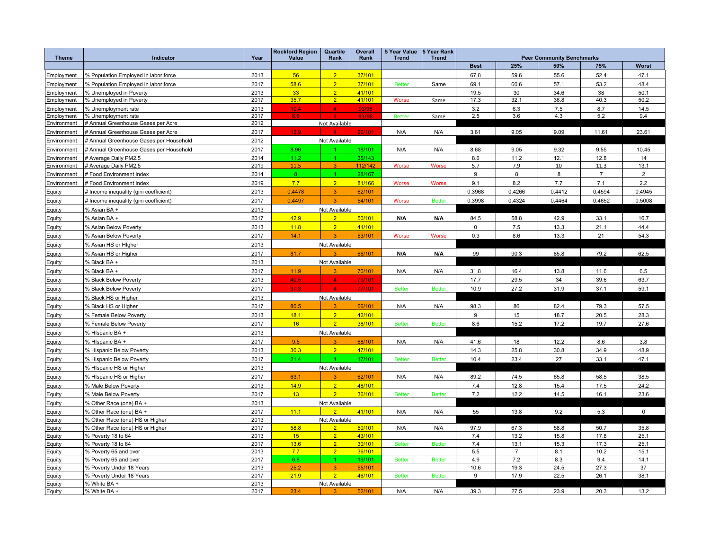| <b>Theme</b>             | Indicator                                          | Year         | <b>Rockford Region</b><br>Value | Quartile<br>Rank                 | <b>Overall</b><br>Rank | <b>5 Year Value</b><br><b>Trend</b> | 5 Year Rank<br><b>Trend</b> | <b>Peer Community Benchmarks</b> |                |              |                |                |
|--------------------------|----------------------------------------------------|--------------|---------------------------------|----------------------------------|------------------------|-------------------------------------|-----------------------------|----------------------------------|----------------|--------------|----------------|----------------|
|                          |                                                    |              |                                 |                                  |                        |                                     |                             | <b>Best</b>                      | <b>Worst</b>   |              |                |                |
|                          | % Population Employed in labor force               | 2013         | 56                              | $\overline{2}$                   | 37/101                 |                                     |                             | 67.8                             | 25%<br>59.6    | 50%<br>55.6  | 75%<br>52.4    | 47.1           |
| Employment<br>Employment | % Population Employed in labor force               | 2017         | 58.6                            | 2 <sup>1</sup>                   | 37/101                 | <b>Better</b>                       | Same                        | 69.1                             | 60.6           | 57.1         | 53.2           | 48.4           |
|                          |                                                    | 2013         | 33 <sup>°</sup>                 | 2 <sup>1</sup>                   | 41/101                 |                                     |                             |                                  | 30             | 34.6         | 38             | 50.1           |
| Employment<br>Employment | % Unemployed in Poverty<br>% Unemployed in Poverty | 2017         | 35.7                            | $\overline{2}$                   | 41/101                 | Worse                               | Same                        | 19.5<br>17.3                     | 32.1           | 36.8         | 40.3           | 50.2           |
| Employment               | % Unemployment rate                                | 2013         | 10.4                            | $\overline{\mathbf{4}}$          | 93/98                  |                                     |                             | 3.2                              | 6.3            | 7.5          | 8.7            | 14.5           |
| Employment               | % Unemployment rate                                | 2017         | 6.5                             |                                  | 93/98                  | <b>Better</b>                       | Same                        | 2.5                              | 3.6            | 4.3          | 5.2            | 9.4            |
| Environment              | # Annual Greenhouse Gases per Acre                 | 2012         |                                 | Not Available                    |                        |                                     |                             |                                  |                |              |                |                |
| Environment              | # Annual Greenhouse Gases per Acre                 | 2017         | 13.9 <sup>°</sup>               |                                  | 92/101                 | N/A                                 | N/A                         | 3.61                             | 9.05           | 9.09         | 11.61          | 23.61          |
| Environment              | # Annual Greenhouse Gases per Household            | 2012         |                                 | Not Available                    |                        |                                     |                             |                                  |                |              |                |                |
| Environment              | # Annual Greenhouse Gases per Household            | 2017         | 8.96                            |                                  | 18/101                 | N/A                                 | N/A                         | 8.68                             | 9.05           | 9.32         | 9.55           | 10.45          |
| Environment              | # Average Daily PM2.5                              | 2014         | 11.2                            | $\blacktriangleleft$             | 35/143                 |                                     |                             | 8.6                              | 11.2           | 12.1         | 12.8           | 14             |
| Environment              | # Average Daily PM2.5                              | 2019         | 11.5                            | 3 <sup>°</sup>                   | 112/142                | Worse                               | <b>Worse</b>                | 5.7                              | 7.9            | 10           | 11.3           | 13.1           |
| Environment              | # Food Environment Index                           | 2014         | 8                               | $\blacktriangleleft$             | 28/167                 |                                     |                             | 9                                | 8              | 8            | $\overline{7}$ | $\overline{2}$ |
| Environment              | # Food Environment Index                           | 2019         | 7.7                             | 2 <sup>7</sup>                   | 81/166                 | Worse                               | Worse                       | 9.1                              | 8.2            | 7.7          | 7.1            | 2.2            |
| Equity                   | # Income inequality (gini coefficient)             | 2013         | 0.4478                          | 3                                | 62/101                 |                                     |                             | 0.3968                           | 0.4266         | 0.4412       | 0.4594         | 0.4945         |
| Equity                   | # Income inequality (gini coefficient)             | 2017         | 0.4497                          | 3 <sup>1</sup>                   | 54/101                 | Worse                               | <b>Better</b>               | 0.3998                           | 0.4324         | 0.4464       | 0.4652         | 0.5008         |
| Equity                   | % Asian BA +                                       | 2013         |                                 | Not Available                    |                        |                                     |                             |                                  |                |              |                |                |
| Equity                   | % Asian BA +                                       | 2017         | 42.9                            | 2 <sup>1</sup>                   | 50/101                 | N/A                                 | N/A                         | 84.5                             | 58.8           | 42.9         | 33.1           | 16.7           |
| Equity                   | % Asian Below Poverty                              | 2013         | 11.8                            | 2 <sup>1</sup>                   | 41/101                 |                                     |                             | $\mathbf 0$                      | 7.5            | 13.3         | 21.1           | 44.4           |
| Equity                   | % Asian Below Poverty                              | 2017         | 14.1                            | 3                                | 53/101                 | <b>Worse</b>                        | <b>Worse</b>                | 0.3                              | 8.6            | 13.3         | 21             | 54.3           |
| Equity                   | % Asian HS or Higher                               | 2013         |                                 | Not Available                    |                        |                                     |                             |                                  |                |              |                |                |
| Equity                   | % Asian HS or Higher                               | 2017         | 81.7                            | $\overline{\mathbf{R}}$          | 66/101                 | N/A                                 | N/A                         | 99                               | 90.3           | 85.8         | 79.2           | 62.5           |
| Equity                   | % Black BA +                                       | 2013         |                                 | Not Available                    |                        |                                     |                             |                                  |                |              |                |                |
| Equity                   | % Black BA +                                       | 2017         | 11.9                            | 3                                | 70/101                 | N/A                                 | N/A                         | 31.8                             | 16.4           | 13.8         | 11.6           | 6.5            |
| Equity                   | % Black Below Poverty                              | 2013         | 40.5                            | $\overline{4}$                   | 79/101                 |                                     |                             | 17.7                             | 29.5           | 34           | 39.6           | 63.7           |
| Equity                   | % Black Below Poverty                              | 2017         | 37.3                            | $\Delta$                         | 77/101                 | <b>Better</b>                       | <b>Better</b>               | 10.9                             | 27.2           | 31.9         | 37.1           | 59.1           |
| Equity                   | % Black HS or Higher                               | 2013         |                                 | Not Available                    |                        |                                     |                             |                                  |                |              |                |                |
| Equity                   | % Black HS or Higher                               | 2017         | 80.5                            | $\overline{\mathbf{R}}$          | 66/101                 | N/A                                 | N/A                         | 98.3                             | 86             | 82.4         | 79.3           | 57.5           |
| Equity                   | % Female Below Poverty                             | 2013         | 18.1                            | 2 <sup>1</sup>                   | 42/101                 |                                     |                             | 9                                | 15             | 18.7         | 20.5           | 28.3           |
|                          | % Female Below Poverty                             | 2017         | 16                              | $\overline{2}$                   | 38/101                 | <b>Better</b>                       | <b>Better</b>               | 8.6                              | 15.2           | 17.2         | 19.7           | 27.6           |
| Equity<br>Equity         | % HIspanic BA +                                    | 2013         |                                 | Not Available                    |                        |                                     |                             |                                  |                |              |                |                |
|                          | % HIspanic BA +                                    | 2017         | 9.5                             | 3                                | 68/101                 | N/A                                 | N/A                         | 41.6                             | 18             | 12.2         | 8.6            | 3.8            |
| Equity                   |                                                    | 2013         | 30.3                            | $\overline{2}$                   | 47/101                 |                                     |                             |                                  | 25.8           |              | 34.9           |                |
| Equity                   | % Hispanic Below Poverty                           |              |                                 |                                  |                        |                                     |                             | 14.3                             |                | 30.8         |                | 48.9           |
| Equity                   | % Hispanic Below Poverty                           | 2017         | 21.4                            |                                  | 17/101                 | <b>Better</b>                       | <b>Better</b>               | 10.4                             | 23.4           | 27           | 33.1           | 47.1           |
| Equity                   | % Hispanic HS or Higher                            | 2013         |                                 | Not Available                    |                        |                                     |                             |                                  |                |              |                |                |
| Equity                   | % Hispanic HS or Higher                            | 2017         | 63.1                            | 3                                | 62/101                 | N/A                                 | N/A                         | 89.2                             | 74.5           | 65.8         | 58.5           | 38.5           |
| Equity                   | % Male Below Poverty                               | 2013         | 14.9                            | $\overline{2}$                   | 48/101                 |                                     |                             | 7.4                              | 12.8           | 15.4         | 17.5           | 24.2           |
| Equity                   | % Male Below Poverty                               | 2017         | 13                              | $\overline{2}$                   | 36/101                 | <b>Better</b>                       | <b>Better</b>               | 7.2                              | 12.2           | 14.5         | 16.1           | 23.6           |
| Equity                   | % Other Race (one) BA +                            | 2013         |                                 | Not Available                    |                        |                                     |                             |                                  |                |              |                |                |
| Equity                   | % Other Race (one) BA +                            | 2017         | 11.1                            | $\overline{2}$                   | 41/101                 | N/A                                 | N/A                         | 55                               | 13.8           | 9.2          | 5.3            | $\mathbf{0}$   |
| Equity                   | % Other Race (one) HS or Higher                    | 2013         |                                 | Not Available                    |                        |                                     |                             |                                  |                |              |                |                |
| Equity                   | % Other Race (one) HS or Higher                    | 2017<br>2013 | 58.8<br>15                      | 2 <sup>2</sup><br>$\overline{2}$ | 50/101<br>43/101       | N/A                                 | N/A                         | 97.9<br>7.4                      | 67.3<br>13.2   | 58.8<br>15.8 | 50.7<br>17.8   | 35.8<br>25.1   |
| Equity                   | % Poverty 18 to 64<br>% Poverty 18 to 64           | 2017         | 13.6                            | 2 <sup>7</sup>                   | 30/101                 | <b>Better</b>                       | <b>Better</b>               | 7.4                              | 13.1           | 15.3         | 17.3           | 25.1           |
| Equity<br>Equity         | % Poverty 65 and over                              | 2013         | 7.7                             | 2 <sup>2</sup>                   | 36/101                 |                                     |                             | 5.5                              | $\overline{7}$ | 8.1          | 10.2           | 15.1           |
| Equity                   | % Poverty 65 and over                              | 2017         | 6.8                             | $\overline{1}$                   | 19/101                 | <b>Better</b>                       | <b>Better</b>               | 4.9                              | 7.2            | 8.3          | 9.4            | 14.1           |
| Equity                   | % Poverty Under 18 Years                           | 2013         | 25.2                            | 3 <sup>1</sup>                   | 55/101                 |                                     |                             | 10.6                             | 19.3           | 24.5         | 27.3           | 37             |
| Equity                   | % Poverty Under 18 Years                           | 2017         | 21.9                            | $\overline{2}$                   | 46/101                 | <b>Better</b>                       | <b>Better</b>               | 9                                | 17.9           | 22.5         | 26.1           | 38.1           |
| Equity                   | % White BA +                                       | 2013         |                                 | Not Available                    |                        |                                     |                             |                                  |                |              |                |                |
| Equity                   | % White BA +                                       | 2017         | 23.4                            |                                  | 52/101                 | N/A                                 | N/A                         | 39.3                             | 27.5           | 23.9         | 20.3           | 13.2           |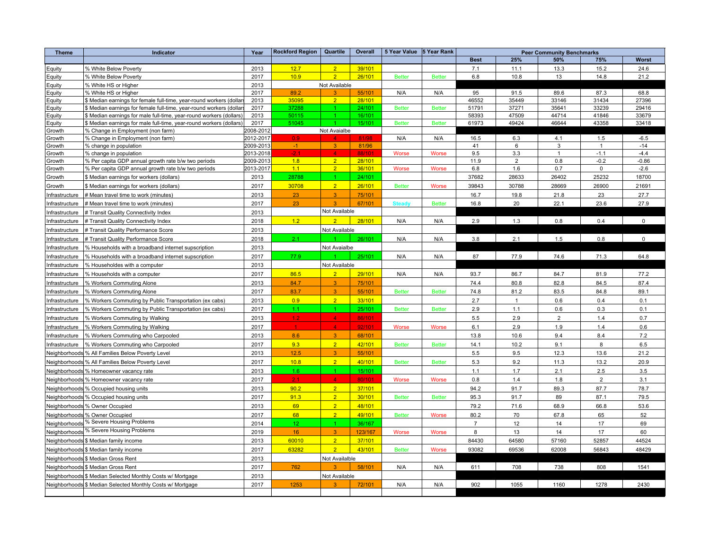| <b>Theme</b>     | Indicator                                                           | Year                   | <b>Rockford Region</b> | Quartile             | Overall | 5 Year Value  | 5 Year Rank   | <b>Peer Community Benchmarks</b> |              |                |                |             |
|------------------|---------------------------------------------------------------------|------------------------|------------------------|----------------------|---------|---------------|---------------|----------------------------------|--------------|----------------|----------------|-------------|
|                  |                                                                     |                        |                        |                      |         |               |               | <b>Best</b>                      | 25%          | 50%            | 75%            | Worst       |
| Equity           | % White Below Poverty                                               | 2013                   | 12.7                   | $\overline{2}$       | 39/101  |               |               | 7.1                              | 11.1         | 13.3           | 15.2           | 24.6        |
| Equity           | % White Below Poverty                                               | 2017                   | 10.9                   | 2 <sup>1</sup>       | 26/101  | <b>Better</b> | <b>Better</b> | 6.8                              | 10.8         | 13             | 14.8           | 21.2        |
| Equity           | % White HS or Higher                                                | 2013                   |                        | Not Available        |         |               |               |                                  |              |                |                |             |
| Equity           | % White HS or Higher                                                | 2017                   | 89.2                   | 3                    | 55/101  | N/A           | N/A           | 95                               | 91.5         | 89.6           | 87.3           | 68.8        |
| Equity           | \$ Median earnings for female full-time, year-round workers (dollar | 2013                   | 35095                  | 2 <sup>2</sup>       | 28/101  |               |               | 46552                            | 35449        | 33146          | 31434          | 27396       |
| Equity           | \$ Median earnings for female full-time, year-round workers (dollar | 2017                   | 37288                  |                      | 24/101  | <b>Better</b> | <b>Better</b> | 51791                            | 37271        | 35641          | 33239          | 29416       |
| Equity           | \$ Median earnings for male full-time, year-round workers (dollars) | 2013                   | 50115                  |                      | 16/101  |               |               | 58393                            | 47509        | 44714          | 41846          | 33679       |
| Equity           | \$ Median earnings for male full-time, year-round workers (dollars) | 2017                   | 51045                  |                      | 15/101  | <b>Better</b> | <b>Better</b> | 61973                            | 49424        | 46644          | 43358          | 33418       |
| Growth           | % Change in Employment (non farm)                                   | 2008-2012<br>2012-2017 | 0.9 <sub>1</sub>       | Not Avaialbe<br>4    | 81/98   | N/A           | N/A           | 16.5                             | 6.3          | 4.1            | 1.5            | $-6.5$      |
| Growth<br>Growth | % Change in Employment (non farm)<br>% change in population         | 2009-2013              | $-1$                   | $\overline{3}$       | 81/96   |               |               | 41                               | 6            | 3              | $\mathbf{1}$   | $-14$       |
| Growth           | % change in population                                              | 2013-2018              | $-2.1$                 | 4 <sup>1</sup>       | 88/101  | Worse         | <b>Worse</b>  | 9.5                              | 3.3          | $\mathbf{1}$   | $-1.1$         | $-4.4$      |
| Growth           | % Per capita GDP annual growth rate b/w two periods                 | 2009-2013              | 1.8                    | 2 <sup>7</sup>       | 28/101  |               |               | 11.9                             | 2            | 0.8            | $-0.2$         | $-0.86$     |
| Growth           | % Per capita GDP annual growth rate b/w two periods                 | 2013-2017              | 1.1                    | 2 <sup>2</sup>       | 36/101  | Worse         | <b>Worse</b>  | 6.8                              | 1.6          | 0.7            | $\mathsf 0$    | $-2.6$      |
| Growth           | \$ Median earnings for workers (dollars)                            | 2013                   | 28788                  | $\mathbf{1}$         | 24/101  |               |               | 37682                            | 28633        | 26402          | 25232          | 18700       |
| Growth           | \$ Median earnings for workers (dollars)                            | 2017                   | 30708                  | 2 <sup>1</sup>       | 26/101  | <b>Better</b> | Worse         | 39843                            | 30788        | 28669          | 26900          | 21691       |
| Infrastructure   | # Mean travel time to work (minutes)                                | 2013                   | 23                     | 3 <sup>1</sup>       | 75/101  |               |               | 16.7                             | 19.8         | 21.8           | 23             | 27.7        |
| Infrastructure   | # Mean travel time to work (minutes)                                | 2017                   | 23                     | $\overline{3}$       | 67/101  | <b>Steady</b> | <b>Better</b> | 16.8                             | 20           | 22.1           | 23.6           | 27.9        |
| Infrastructure   | # Transit Quality Connectivity Index                                | 2013                   |                        | Not Available        |         |               |               |                                  |              |                |                |             |
| Infrastructure   | # Transit Quality Connectivity Index                                | 2018                   | 1.2                    | 2 <sup>1</sup>       | 28/101  | N/A           | N/A           | 2.9                              | 1.3          | 0.8            | 0.4            | $\mathbf 0$ |
| Infrastructure   | # Transit Quality Performance Score                                 | 2013                   |                        | Not Available        |         |               |               |                                  |              |                |                |             |
| Infrastructure   | # Transit Quality Performance Score                                 | 2018                   | 2.1                    |                      | 26/101  | N/A           | N/A           | 3.8                              | 2.1          | 1.5            | 0.8            | $\mathsf 0$ |
| Infrastructure   | % Households with a broadband internet supscription                 | 2013                   |                        | Not Avaialbe         |         |               |               |                                  |              |                |                |             |
| Infrastructure   | % Households with a broadband internet supscription                 | 2017                   | 77.9                   |                      | 25/101  | N/A           | N/A           | 87                               | 77.9         | 74.6           | 71.3           | 64.8        |
| Infrastructure   | % Householdes with a computer                                       | 2013                   |                        | Not Available        |         |               |               |                                  |              |                |                |             |
| Infrastructure   | % Households with a computer                                        | 2017                   | 86.5                   | $\overline{2}$       | 29/101  | N/A           | N/A           | 93.7                             | 86.7         | 84.7           | 81.9           | 77.2        |
| Infrastructure   | % Workers Commuting Alone                                           | 2013                   | 84.7                   | $\mathbf{3}$         | 75/101  |               |               | 74.4                             | 80.8         | 82.8           | 84.5           | 87.4        |
|                  |                                                                     | 2017                   | 83.7                   | 3 <sup>°</sup>       | 55/101  | <b>Better</b> | <b>Better</b> | 74.8                             | 81.2         |                | 84.8           | 89.1        |
| Infrastructure   | % Workers Commuting Alone                                           | 2013                   | 0.9                    | 2 <sup>1</sup>       | 33/101  |               |               |                                  |              | 83.5<br>0.6    | 0.4            | 0.1         |
| Infrastructure   | % Workers Commuting by Public Transportation (ex cabs)              |                        |                        |                      |         |               |               | 2.7                              | $\mathbf{1}$ |                |                |             |
| nfrastructure    | % Workers Commuting by Public Transportation (ex cabs)              | 2017                   | 1.1                    | $\mathbf{1}$         | 25/101  | <b>Better</b> | <b>Better</b> | 2.9                              | 1.1          | 0.6            | 0.3            | 0.1         |
| Infrastructure   | % Workers Commuting by Walking                                      | 2013                   | 1.2 <sub>1</sub>       | $\overline{4}$       | 86/101  |               |               | 5.5                              | 2.9          | $\overline{2}$ | 1.4            | 0.7         |
| Infrastructure   | % Workers Commuting by Walking                                      | 2017                   | $\mathbf{1}$           | 4 <sup>1</sup>       | 92/101  | Worse         | <b>Worse</b>  | 6.1                              | 2.9          | 1.9            | 1.4            | 0.6         |
| Infrastructure   | % Workers Commuting who Carpooled                                   | 2013                   | 8.6                    | $\mathbf{3}$         | 68/101  |               |               | 13.8                             | 10.6         | 9.4            | 8.4            | 7.2         |
| Infrastructure   | % Workers Commuting who Carpooled                                   | 2017                   | 9.3                    | 2 <sup>1</sup>       | 42/101  | <b>Better</b> | <b>Better</b> | 14.1                             | 10.2         | 9.1            | 8              | 6.5         |
| Neighborhoods    | % All Families Below Poverty Level                                  | 2013                   | 12.5                   | 3 <sup>1</sup>       | 55/101  |               |               | 5.5                              | 9.5          | 12.3           | 13.6           | 21.2        |
| Neighborhoods    | % All Families Below Poverty Level                                  | 2017                   | 10.8                   | 2 <sup>1</sup>       | 40/101  | <b>Better</b> | <b>Better</b> | 5.3                              | 9.2          | 11.3           | 13.2           | 20.9        |
| Neighborhoods    | % Homeowner vacancy rate                                            | 2013                   | 1.6                    | $\blacktriangleleft$ | 15/101  |               |               | 1.1                              | 1.7          | 2.1            | 2.5            | 3.5         |
|                  | Neighborhoods % Homeowner vacancy rate                              | 2017                   | 2.1                    | $\overline{4}$       | 80/101  | Worse         | Worse         | 0.8                              | 1.4          | 1.8            | $\overline{2}$ | 3.1         |
| Neighborhoods    | % Occupied housing units                                            | 2013                   | 90.2                   | 2 <sup>7</sup>       | 37/101  |               |               | 94.2                             | 91.7         | 89.3           | 87.7           | 78.7        |
| Neighborhoods    | % Occupied housing units                                            | 2017                   | 91.3                   | 2 <sup>1</sup>       | 30/101  | <b>Better</b> | <b>Better</b> | 95.3                             | 91.7         | 89             | 87.1           | 79.5        |
|                  | Neighborhoods % Owner Occupied                                      | 2013                   | 69                     | 2 <sup>7</sup>       | 48/101  |               |               | 79.2                             | 71.6         | 68.9           | 66.8           | 53.6        |
|                  | Neighborhoods % Owner Occupied                                      | 2017                   | 68                     | 2 <sup>1</sup>       | 49/101  | <b>Better</b> | Worse         | 80.2                             | 70           | 67.8           | 65             | 52          |
| Neighborhoods    | % Severe Housing Problems                                           | 2014                   | 12                     | $\mathbf{1}$         | 36/167  |               |               | $\overline{7}$                   | 12           | 14             | 17             | 69          |
|                  | Neighborhoods % Severe Housing Problems                             | 2019                   | 16                     | $\overline{3}$       | 123/167 | Worse         | <b>Worse</b>  | 8                                | 13           | 14             | 17             | 60          |
|                  | Neighborhoods \$ Median family income                               | 2013                   | 60010                  | 2 <sup>1</sup>       | 37/101  |               |               | 84430                            | 64580        | 57160          | 52857          | 44524       |
|                  | Neighborhoods \$ Median family income                               | 2017                   | 63282                  | 2 <sup>2</sup>       | 43/101  | <b>Better</b> | <b>Worse</b>  | 93082                            | 69536        | 62008          | 56843          | 48429       |
|                  | Neighborhoods \$ Median Gross Rent                                  | 2013                   |                        | Not Availalble       |         |               |               |                                  |              |                |                |             |
|                  | Neighborhoods \$ Median Gross Rent                                  | 2017                   | 762                    | $\overline{3}$       | 58/101  | N/A           | N/A           | 611                              | 708          | 738            | 808            | 1541        |
|                  | Neighborhoods \$ Median Selected Monthly Costs w/ Mortgage          | 2013                   |                        | Not Available        |         |               |               |                                  |              |                |                |             |
|                  | Neighborhoods \$ Median Selected Monthly Costs w/ Mortgage          | 2017                   | 1253                   | $\overline{3}$       | 72/101  | N/A           | N/A           | 902                              | 1055         | 1160           | 1278           | 2430        |
|                  |                                                                     |                        |                        |                      |         |               |               |                                  |              |                |                |             |